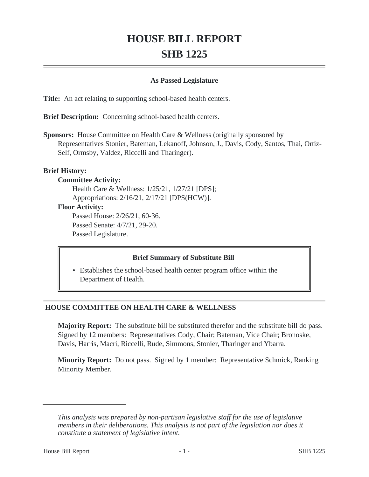# **HOUSE BILL REPORT SHB 1225**

#### **As Passed Legislature**

**Title:** An act relating to supporting school-based health centers.

**Brief Description:** Concerning school-based health centers.

**Sponsors:** House Committee on Health Care & Wellness (originally sponsored by Representatives Stonier, Bateman, Lekanoff, Johnson, J., Davis, Cody, Santos, Thai, Ortiz-Self, Ormsby, Valdez, Riccelli and Tharinger).

#### **Brief History:**

#### **Committee Activity:**

Health Care & Wellness: 1/25/21, 1/27/21 [DPS]; Appropriations: 2/16/21, 2/17/21 [DPS(HCW)].

#### **Floor Activity:**

Passed House: 2/26/21, 60-36. Passed Senate: 4/7/21, 29-20. Passed Legislature.

## **Brief Summary of Substitute Bill**

• Establishes the school-based health center program office within the Department of Health.

## **HOUSE COMMITTEE ON HEALTH CARE & WELLNESS**

**Majority Report:** The substitute bill be substituted therefor and the substitute bill do pass. Signed by 12 members: Representatives Cody, Chair; Bateman, Vice Chair; Bronoske, Davis, Harris, Macri, Riccelli, Rude, Simmons, Stonier, Tharinger and Ybarra.

**Minority Report:** Do not pass. Signed by 1 member: Representative Schmick, Ranking Minority Member.

*This analysis was prepared by non-partisan legislative staff for the use of legislative members in their deliberations. This analysis is not part of the legislation nor does it constitute a statement of legislative intent.*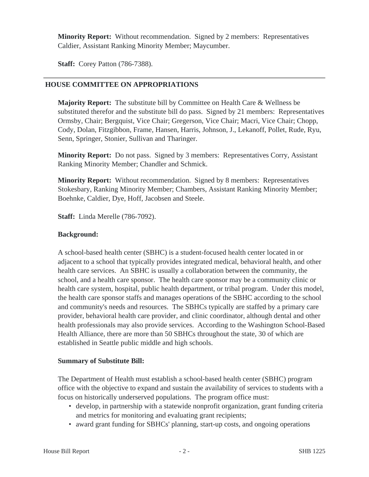**Minority Report:** Without recommendation. Signed by 2 members: Representatives Caldier, Assistant Ranking Minority Member; Maycumber.

**Staff:** Corey Patton (786-7388).

### **HOUSE COMMITTEE ON APPROPRIATIONS**

**Majority Report:** The substitute bill by Committee on Health Care & Wellness be substituted therefor and the substitute bill do pass. Signed by 21 members: Representatives Ormsby, Chair; Bergquist, Vice Chair; Gregerson, Vice Chair; Macri, Vice Chair; Chopp, Cody, Dolan, Fitzgibbon, Frame, Hansen, Harris, Johnson, J., Lekanoff, Pollet, Rude, Ryu, Senn, Springer, Stonier, Sullivan and Tharinger.

**Minority Report:** Do not pass. Signed by 3 members: Representatives Corry, Assistant Ranking Minority Member; Chandler and Schmick.

**Minority Report:** Without recommendation. Signed by 8 members: Representatives Stokesbary, Ranking Minority Member; Chambers, Assistant Ranking Minority Member; Boehnke, Caldier, Dye, Hoff, Jacobsen and Steele.

**Staff:** Linda Merelle (786-7092).

#### **Background:**

A school-based health center (SBHC) is a student-focused health center located in or adjacent to a school that typically provides integrated medical, behavioral health, and other health care services. An SBHC is usually a collaboration between the community, the school, and a health care sponsor. The health care sponsor may be a community clinic or health care system, hospital, public health department, or tribal program. Under this model, the health care sponsor staffs and manages operations of the SBHC according to the school and community's needs and resources. The SBHCs typically are staffed by a primary care provider, behavioral health care provider, and clinic coordinator, although dental and other health professionals may also provide services. According to the Washington School-Based Health Alliance, there are more than 50 SBHCs throughout the state, 30 of which are established in Seattle public middle and high schools.

#### **Summary of Substitute Bill:**

The Department of Health must establish a school-based health center (SBHC) program office with the objective to expand and sustain the availability of services to students with a focus on historically underserved populations. The program office must:

- develop, in partnership with a statewide nonprofit organization, grant funding criteria and metrics for monitoring and evaluating grant recipients;
- award grant funding for SBHCs' planning, start-up costs, and ongoing operations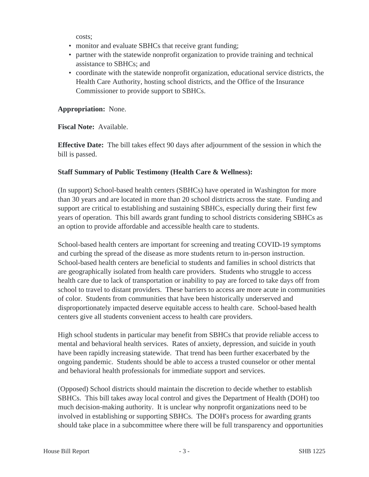costs;

- monitor and evaluate SBHCs that receive grant funding;
- partner with the statewide nonprofit organization to provide training and technical assistance to SBHCs; and
- coordinate with the statewide nonprofit organization, educational service districts, the Health Care Authority, hosting school districts, and the Office of the Insurance Commissioner to provide support to SBHCs.

**Appropriation:** None.

**Fiscal Note:** Available.

**Effective Date:** The bill takes effect 90 days after adjournment of the session in which the bill is passed.

## **Staff Summary of Public Testimony (Health Care & Wellness):**

(In support) School-based health centers (SBHCs) have operated in Washington for more than 30 years and are located in more than 20 school districts across the state. Funding and support are critical to establishing and sustaining SBHCs, especially during their first few years of operation. This bill awards grant funding to school districts considering SBHCs as an option to provide affordable and accessible health care to students.

School-based health centers are important for screening and treating COVID-19 symptoms and curbing the spread of the disease as more students return to in-person instruction. School-based health centers are beneficial to students and families in school districts that are geographically isolated from health care providers. Students who struggle to access health care due to lack of transportation or inability to pay are forced to take days off from school to travel to distant providers. These barriers to access are more acute in communities of color. Students from communities that have been historically underserved and disproportionately impacted deserve equitable access to health care. School-based health centers give all students convenient access to health care providers.

High school students in particular may benefit from SBHCs that provide reliable access to mental and behavioral health services. Rates of anxiety, depression, and suicide in youth have been rapidly increasing statewide. That trend has been further exacerbated by the ongoing pandemic. Students should be able to access a trusted counselor or other mental and behavioral health professionals for immediate support and services.

(Opposed) School districts should maintain the discretion to decide whether to establish SBHCs. This bill takes away local control and gives the Department of Health (DOH) too much decision-making authority. It is unclear why nonprofit organizations need to be involved in establishing or supporting SBHCs. The DOH's process for awarding grants should take place in a subcommittee where there will be full transparency and opportunities